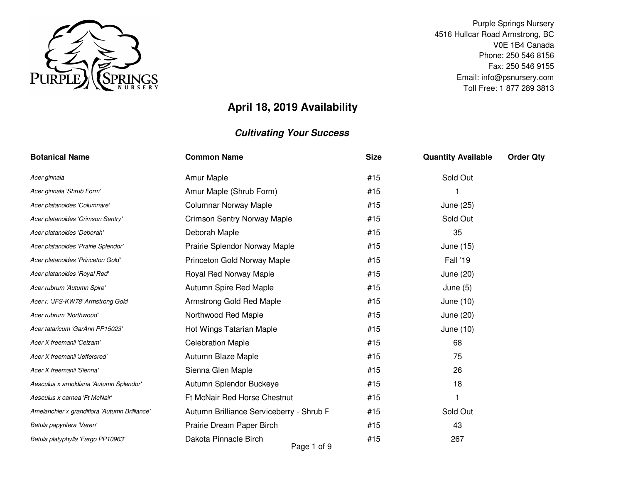

Purple Springs Nursery 4516 Hullcar Road Armstrong, BC V0E 1B4 Canada Phone: 250 546 8156 Fax: 250 546 9155 Email: info@psnursery.comToll Free: 1 877 289 3813

# **April 18, 2019 Availability**

| <b>Botanical Name</b>                         | <b>Common Name</b>                       | <b>Size</b> | <b>Quantity Available</b> | <b>Order Qty</b> |
|-----------------------------------------------|------------------------------------------|-------------|---------------------------|------------------|
| Acer ginnala                                  | Amur Maple                               | #15         | Sold Out                  |                  |
| Acer ginnala 'Shrub Form'                     | Amur Maple (Shrub Form)                  | #15         |                           |                  |
| Acer platanoides 'Columnare'                  | <b>Columnar Norway Maple</b>             | #15         | June (25)                 |                  |
| Acer platanoides 'Crimson Sentry'             | <b>Crimson Sentry Norway Maple</b>       | #15         | Sold Out                  |                  |
| Acer platanoides 'Deborah'                    | Deborah Maple                            | #15         | 35                        |                  |
| Acer platanoides 'Prairie Splendor'           | Prairie Splendor Norway Maple            | #15         | June (15)                 |                  |
| Acer platanoides 'Princeton Gold'             | Princeton Gold Norway Maple              | #15         | Fall '19                  |                  |
| Acer platanoides 'Royal Red'                  | Royal Red Norway Maple                   | #15         | June (20)                 |                  |
| Acer rubrum 'Autumn Spire'                    | Autumn Spire Red Maple                   | #15         | June $(5)$                |                  |
| Acer r. 'JFS-KW78' Armstrong Gold             | Armstrong Gold Red Maple                 | #15         | June (10)                 |                  |
| Acer rubrum 'Northwood'                       | Northwood Red Maple                      | #15         | June (20)                 |                  |
| Acer tataricum 'GarAnn PP15023'               | Hot Wings Tatarian Maple                 | #15         | June (10)                 |                  |
| Acer X freemanii 'Celzam'                     | <b>Celebration Maple</b>                 | #15         | 68                        |                  |
| Acer X freemanii 'Jeffersred'                 | Autumn Blaze Maple                       | #15         | 75                        |                  |
| Acer X freemanii 'Sienna'                     | Sienna Glen Maple                        | #15         | 26                        |                  |
| Aesculus x arnoldiana 'Autumn Splendor'       | Autumn Splendor Buckeye                  | #15         | 18                        |                  |
| Aesculus x carnea 'Ft McNair'                 | Ft McNair Red Horse Chestnut             | #15         | 1                         |                  |
| Amelanchier x grandiflora 'Autumn Brilliance' | Autumn Brilliance Serviceberry - Shrub F | #15         | Sold Out                  |                  |
| Betula papyrifera 'Varen'                     | Prairie Dream Paper Birch                | #15         | 43                        |                  |
| Betula platyphylla 'Fargo PP10963'            | Dakota Pinnacle Birch<br>Page 1 of 9     | #15         | 267                       |                  |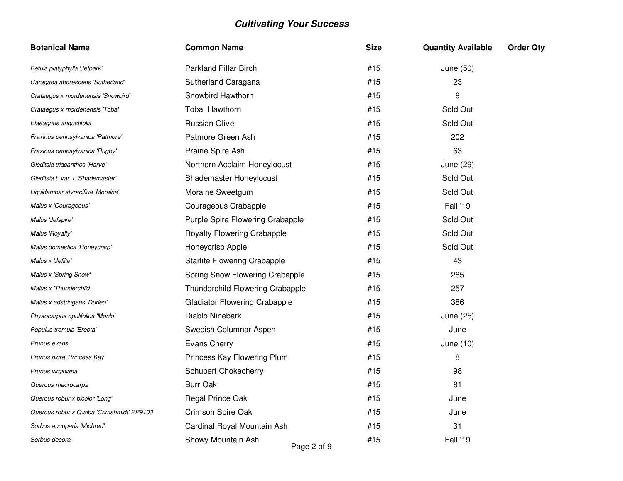| <b>Botanical Name</b>                      | <b>Common Name</b>                      | <b>Size</b> | <b>Quantity Available</b> | <b>Order Qty</b> |
|--------------------------------------------|-----------------------------------------|-------------|---------------------------|------------------|
| Betula platyphylla 'Jefpark'               | <b>Parkland Pillar Birch</b>            | #15         | June (50)                 |                  |
| Caragana aborescens 'Sutherland'           | Sutherland Caragana                     | #15         | 23                        |                  |
| Crataegus x mordenensis 'Snowbird'         | Snowbird Hawthorn                       | #15         | 8                         |                  |
| Crataegus x mordenensis 'Toba'             | Toba Hawthorn                           | #15         | Sold Out                  |                  |
| Elaeagnus angustifolia                     | Russian Olive                           | #15         | Sold Out                  |                  |
| Fraxinus pennsylvanica 'Patmore'           | Patmore Green Ash                       | #15         | 202                       |                  |
| Fraxinus pennsylvanica 'Rugby'             | Prairie Spire Ash                       | #15         | 63                        |                  |
| Gleditsia triacanthos 'Harve'              | Northern Acclaim Honeylocust            | #15         | June (29)                 |                  |
| Gleditsia t. var. i. 'Shademaster'         | Shademaster Honeylocust                 | #15         | Sold Out                  |                  |
| Liquidambar styraciflua 'Moraine'          | Moraine Sweetgum                        | #15         | Sold Out                  |                  |
| Malus x 'Courageous'                       | Courageous Crabapple                    | #15         | Fall '19                  |                  |
| Malus 'Jefspire'                           | Purple Spire Flowering Crabapple        | #15         | Sold Out                  |                  |
| Malus 'Royalty'                            | Royalty Flowering Crabapple             | #15         | Sold Out                  |                  |
| Malus domestica 'Honeycrisp'               | Honeycrisp Apple                        | #15         | Sold Out                  |                  |
| Malus x 'Jeflite'                          | <b>Starlite Flowering Crabapple</b>     | #15         | 43                        |                  |
| Malus x 'Spring Snow'                      | Spring Snow Flowering Crabapple         | #15         | 285                       |                  |
| Malus x 'Thunderchild'                     | <b>Thunderchild Flowering Crabapple</b> | #15         | 257                       |                  |
| Malus x adstringens 'Durleo'               | <b>Gladiator Flowering Crabapple</b>    | #15         | 386                       |                  |
| Physocarpus opulifolius 'Monlo'            | Diablo Ninebark                         | #15         | June (25)                 |                  |
| Populus tremula 'Erecta'                   | Swedish Columnar Aspen                  | #15         | June                      |                  |
| Prunus evans                               | <b>Evans Cherry</b>                     | #15         | June (10)                 |                  |
| Prunus nigra 'Princess Kay'                | Princess Kay Flowering Plum             | #15         | 8                         |                  |
| Prunus virginiana                          | Schubert Chokecherry                    | #15         | 98                        |                  |
| Quercus macrocarpa                         | <b>Burr Oak</b>                         | #15         | 81                        |                  |
| Quercus robur x bicolor 'Long'             | Regal Prince Oak                        | #15         | June                      |                  |
| Quercus robur x Q.alba 'Crimshmidt' PP9103 | Crimson Spire Oak                       | #15         | June                      |                  |
| Sorbus aucuparia 'Michred'                 | Cardinal Royal Mountain Ash             | #15         | 31                        |                  |
| Sorbus decora                              | Showy Mountain Ash<br>Page 2 of 9       | #15         | Fall '19                  |                  |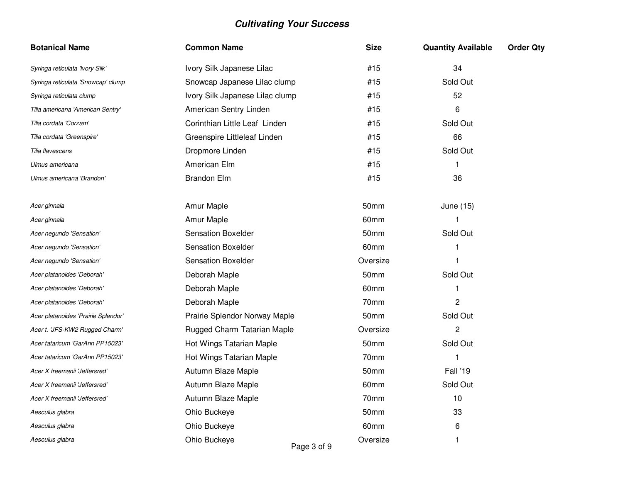| <b>Botanical Name</b>               | <b>Common Name</b>              | <b>Size</b> | <b>Quantity Available</b> | <b>Order Qty</b> |
|-------------------------------------|---------------------------------|-------------|---------------------------|------------------|
| Syringa reticulata 'Ivory Silk'     | Ivory Silk Japanese Lilac       | #15         | 34                        |                  |
| Syringa reticulata 'Snowcap' clump  | Snowcap Japanese Lilac clump    | #15         | Sold Out                  |                  |
| Syringa reticulata clump            | Ivory Silk Japanese Lilac clump | #15         | 52                        |                  |
| Tilia americana 'American Sentry'   | American Sentry Linden          | #15         | 6                         |                  |
| Tilia cordata 'Corzam'              | Corinthian Little Leaf Linden   | #15         | Sold Out                  |                  |
| Tilia cordata 'Greenspire'          | Greenspire Littleleaf Linden    | #15         | 66                        |                  |
| Tilia flavescens                    | Dropmore Linden                 | #15         | Sold Out                  |                  |
| Ulmus americana                     | American Elm                    | #15         | 1                         |                  |
| Ulmus americana 'Brandon'           | <b>Brandon Elm</b>              | #15         | 36                        |                  |
| Acer ginnala                        | Amur Maple                      | 50mm        | June (15)                 |                  |
| Acer ginnala                        | Amur Maple                      | 60mm        | 1                         |                  |
| Acer negundo 'Sensation'            | <b>Sensation Boxelder</b>       | 50mm        | Sold Out                  |                  |
| Acer negundo 'Sensation'            | <b>Sensation Boxelder</b>       | 60mm        | 1                         |                  |
| Acer negundo 'Sensation'            | <b>Sensation Boxelder</b>       | Oversize    | 1                         |                  |
| Acer platanoides 'Deborah'          | Deborah Maple                   | 50mm        | Sold Out                  |                  |
| Acer platanoides 'Deborah'          | Deborah Maple                   | 60mm        | 1                         |                  |
| Acer platanoides 'Deborah'          | Deborah Maple                   | 70mm        | $\overline{c}$            |                  |
| Acer platanoides 'Prairie Splendor' | Prairie Splendor Norway Maple   | 50mm        | Sold Out                  |                  |
| Acer t. 'JFS-KW2 Rugged Charm'      | Rugged Charm Tatarian Maple     | Oversize    | $\overline{2}$            |                  |
| Acer tataricum 'GarAnn PP15023'     | Hot Wings Tatarian Maple        | 50mm        | Sold Out                  |                  |
| Acer tataricum 'GarAnn PP15023'     | Hot Wings Tatarian Maple        | 70mm        | 1                         |                  |
| Acer X freemanii 'Jeffersred'       | Autumn Blaze Maple              | 50mm        | Fall '19                  |                  |
| Acer X freemanii 'Jeffersred'       | Autumn Blaze Maple              | 60mm        | Sold Out                  |                  |
| Acer X freemanii 'Jeffersred'       | Autumn Blaze Maple              | 70mm        | 10                        |                  |
| Aesculus glabra                     | Ohio Buckeye                    | 50mm        | 33                        |                  |
| Aesculus glabra                     | Ohio Buckeye                    | 60mm        | 6                         |                  |
| Aesculus glabra                     | Ohio Buckeye<br>.               | Oversize    | $\mathbf{1}$              |                  |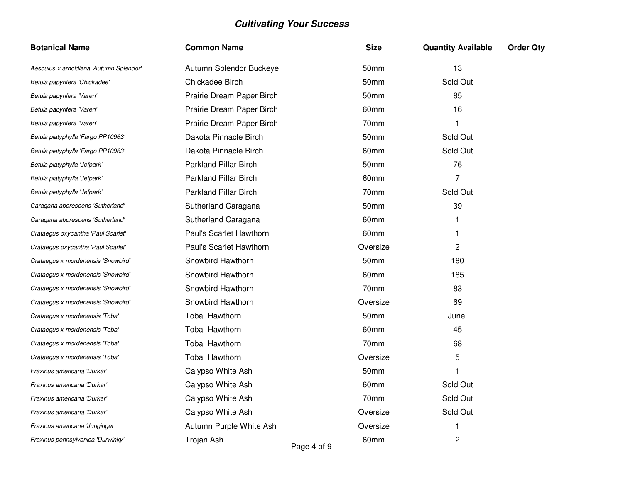| <b>Botanical Name</b>                   | <b>Common Name</b>           |   | <b>Size</b>      | <b>Quantity Available</b> | <b>Order Qty</b> |
|-----------------------------------------|------------------------------|---|------------------|---------------------------|------------------|
| Aesculus x arnoldiana 'Autumn Splendor' | Autumn Splendor Buckeye      |   | 50 <sub>mm</sub> | 13                        |                  |
| Betula papyrifera 'Chickadee'           | Chickadee Birch              |   | 50 <sub>mm</sub> | Sold Out                  |                  |
| Betula papyrifera 'Varen'               | Prairie Dream Paper Birch    |   | 50mm             | 85                        |                  |
| Betula papyrifera 'Varen'               | Prairie Dream Paper Birch    |   | 60 <sub>mm</sub> | 16                        |                  |
| Betula papyrifera 'Varen'               | Prairie Dream Paper Birch    |   | 70mm             | 1                         |                  |
| Betula platyphylla 'Fargo PP10963'      | Dakota Pinnacle Birch        |   | 50 <sub>mm</sub> | Sold Out                  |                  |
| Betula platyphylla 'Fargo PP10963'      | Dakota Pinnacle Birch        |   | 60mm             | Sold Out                  |                  |
| Betula platyphylla 'Jefpark'            | <b>Parkland Pillar Birch</b> |   | 50mm             | 76                        |                  |
| Betula platyphylla 'Jefpark'            | <b>Parkland Pillar Birch</b> |   | 60mm             | 7                         |                  |
| Betula platyphylla 'Jefpark'            | <b>Parkland Pillar Birch</b> |   | 70mm             | Sold Out                  |                  |
| Caragana aborescens 'Sutherland'        | Sutherland Caragana          |   | 50mm             | 39                        |                  |
| Caragana aborescens 'Sutherland'        | Sutherland Caragana          |   | 60 <sub>mm</sub> |                           |                  |
| Crataegus oxycantha 'Paul Scarlet'      | Paul's Scarlet Hawthorn      |   | 60 <sub>mm</sub> | 1                         |                  |
| Crataegus oxycantha 'Paul Scarlet'      | Paul's Scarlet Hawthorn      |   | Oversize         | $\overline{c}$            |                  |
| Crataegus x mordenensis 'Snowbird'      | Snowbird Hawthorn            |   | 50mm             | 180                       |                  |
| Crataegus x mordenensis 'Snowbird'      | Snowbird Hawthorn            |   | 60mm             | 185                       |                  |
| Crataegus x mordenensis 'Snowbird'      | Snowbird Hawthorn            |   | 70mm             | 83                        |                  |
| Crataegus x mordenensis 'Snowbird'      | Snowbird Hawthorn            |   | Oversize         | 69                        |                  |
| Crataegus x mordenensis 'Toba'          | Toba Hawthorn                |   | 50 <sub>mm</sub> | June                      |                  |
| Crataegus x mordenensis 'Toba'          | Toba Hawthorn                |   | 60mm             | 45                        |                  |
| Crataegus x mordenensis 'Toba'          | Toba Hawthorn                |   | 70mm             | 68                        |                  |
| Crataegus x mordenensis 'Toba'          | Toba Hawthorn                |   | Oversize         | 5                         |                  |
| Fraxinus americana 'Durkar'             | Calypso White Ash            |   | 50mm             | 1                         |                  |
| Fraxinus americana 'Durkar'             | Calypso White Ash            |   | 60mm             | Sold Out                  |                  |
| Fraxinus americana 'Durkar'             | Calypso White Ash            |   | 70mm             | Sold Out                  |                  |
| Fraxinus americana 'Durkar'             | Calypso White Ash            |   | Oversize         | Sold Out                  |                  |
| Fraxinus americana 'Junginger'          | Autumn Purple White Ash      |   | Oversize         | 1                         |                  |
| Fraxinus pennsylvanica 'Durwinky'       | Trojan Ash                   | . | 60mm             | $\overline{c}$            |                  |

Page 4 of 9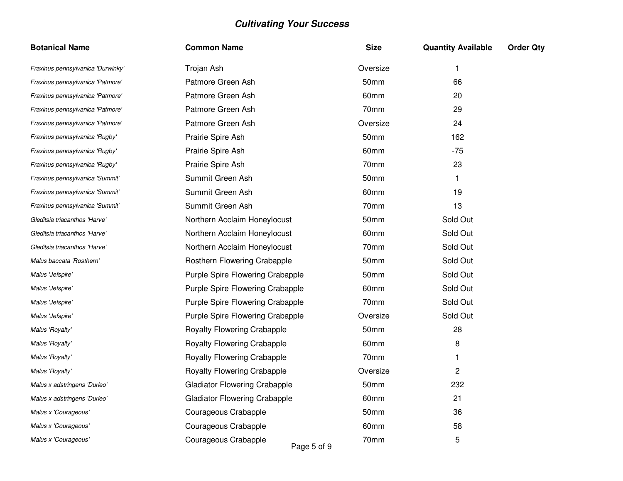| <b>Botanical Name</b>             | <b>Common Name</b>                   | <b>Size</b> | <b>Quantity Available</b> | <b>Order Qty</b> |
|-----------------------------------|--------------------------------------|-------------|---------------------------|------------------|
| Fraxinus pennsylvanica 'Durwinky' | Trojan Ash                           | Oversize    | 1                         |                  |
| Fraxinus pennsylvanica 'Patmore'  | Patmore Green Ash                    | 50mm        | 66                        |                  |
| Fraxinus pennsylvanica 'Patmore'  | Patmore Green Ash                    | 60mm        | 20                        |                  |
| Fraxinus pennsylvanica 'Patmore'  | Patmore Green Ash                    | 70mm        | 29                        |                  |
| Fraxinus pennsylvanica 'Patmore'  | Patmore Green Ash                    | Oversize    | 24                        |                  |
| Fraxinus pennsylvanica 'Rugby'    | Prairie Spire Ash                    | 50mm        | 162                       |                  |
| Fraxinus pennsylvanica 'Rugby'    | Prairie Spire Ash                    | 60mm        | $-75$                     |                  |
| Fraxinus pennsylvanica 'Rugby'    | Prairie Spire Ash                    | 70mm        | 23                        |                  |
| Fraxinus pennsylvanica 'Summit'   | Summit Green Ash                     | 50mm        | 1.                        |                  |
| Fraxinus pennsylvanica 'Summit'   | Summit Green Ash                     | 60mm        | 19                        |                  |
| Fraxinus pennsylvanica 'Summit'   | Summit Green Ash                     | 70mm        | 13                        |                  |
| Gleditsia triacanthos 'Harve'     | Northern Acclaim Honeylocust         | 50mm        | Sold Out                  |                  |
| Gleditsia triacanthos 'Harve'     | Northern Acclaim Honeylocust         | 60mm        | Sold Out                  |                  |
| Gleditsia triacanthos 'Harve'     | Northern Acclaim Honeylocust         | 70mm        | Sold Out                  |                  |
| Malus baccata 'Rosthern'          | Rosthern Flowering Crabapple         | 50mm        | Sold Out                  |                  |
| Malus 'Jefspire'                  | Purple Spire Flowering Crabapple     | 50mm        | Sold Out                  |                  |
| Malus 'Jefspire'                  | Purple Spire Flowering Crabapple     | 60mm        | Sold Out                  |                  |
| Malus 'Jefspire'                  | Purple Spire Flowering Crabapple     | 70mm        | Sold Out                  |                  |
| Malus 'Jefspire'                  | Purple Spire Flowering Crabapple     | Oversize    | Sold Out                  |                  |
| Malus 'Royalty'                   | Royalty Flowering Crabapple          | 50mm        | 28                        |                  |
| Malus 'Royalty'                   | Royalty Flowering Crabapple          | 60mm        | 8                         |                  |
| Malus 'Royalty'                   | Royalty Flowering Crabapple          | 70mm        | 1                         |                  |
| Malus 'Royalty'                   | <b>Royalty Flowering Crabapple</b>   | Oversize    | 2                         |                  |
| Malus x adstringens 'Durleo'      | <b>Gladiator Flowering Crabapple</b> | 50mm        | 232                       |                  |
| Malus x adstringens 'Durleo'      | <b>Gladiator Flowering Crabapple</b> | 60mm        | 21                        |                  |
| Malus x 'Courageous'              | Courageous Crabapple                 | 50mm        | 36                        |                  |
| Malus x 'Courageous'              | Courageous Crabapple                 | 60mm        | 58                        |                  |
| Malus x 'Courageous'              | Courageous Crabapple                 | 70mm        | 5                         |                  |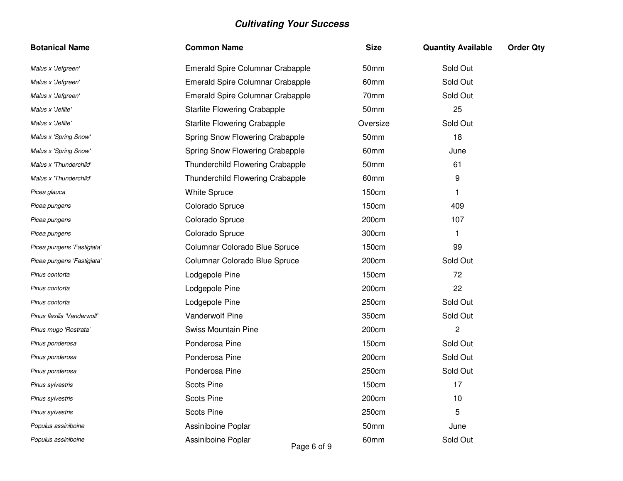| <b>Botanical Name</b>       | <b>Common Name</b>                  | <b>Size</b>  | <b>Quantity Available</b> | <b>Order Qty</b> |
|-----------------------------|-------------------------------------|--------------|---------------------------|------------------|
| Malus x 'Jefgreen'          | Emerald Spire Columnar Crabapple    | 50mm         | Sold Out                  |                  |
| Malus x 'Jefgreen'          | Emerald Spire Columnar Crabapple    | 60mm         | Sold Out                  |                  |
| Malus x 'Jefgreen'          | Emerald Spire Columnar Crabapple    | 70mm         | Sold Out                  |                  |
| Malus x 'Jeflite'           | <b>Starlite Flowering Crabapple</b> | 50mm         | 25                        |                  |
| Malus x 'Jeflite'           | <b>Starlite Flowering Crabapple</b> | Oversize     | Sold Out                  |                  |
| Malus x 'Spring Snow'       | Spring Snow Flowering Crabapple     | 50mm         | 18                        |                  |
| Malus x 'Spring Snow'       | Spring Snow Flowering Crabapple     | 60mm         | June                      |                  |
| Malus x 'Thunderchild'      | Thunderchild Flowering Crabapple    | 50mm         | 61                        |                  |
| Malus x 'Thunderchild'      | Thunderchild Flowering Crabapple    | 60mm         | 9                         |                  |
| Picea glauca                | <b>White Spruce</b>                 | 150cm        |                           |                  |
| Picea pungens               | Colorado Spruce                     | <b>150cm</b> | 409                       |                  |
| Picea pungens               | Colorado Spruce                     | 200cm        | 107                       |                  |
| Picea pungens               | Colorado Spruce                     | 300cm        | 1                         |                  |
| Picea pungens 'Fastigiata'  | Columnar Colorado Blue Spruce       | 150cm        | 99                        |                  |
| Picea pungens 'Fastigiata'  | Columnar Colorado Blue Spruce       | 200cm        | Sold Out                  |                  |
| Pinus contorta              | Lodgepole Pine                      | 150cm        | 72                        |                  |
| Pinus contorta              | Lodgepole Pine                      | 200cm        | 22                        |                  |
| Pinus contorta              | Lodgepole Pine                      | 250cm        | Sold Out                  |                  |
| Pinus flexilis 'Vanderwolf' | Vanderwolf Pine                     | 350cm        | Sold Out                  |                  |
| Pinus mugo 'Rostrata'       | Swiss Mountain Pine                 | 200cm        | $\overline{c}$            |                  |
| Pinus ponderosa             | Ponderosa Pine                      | 150cm        | Sold Out                  |                  |
| Pinus ponderosa             | Ponderosa Pine                      | 200cm        | Sold Out                  |                  |
| Pinus ponderosa             | Ponderosa Pine                      | 250cm        | Sold Out                  |                  |
| Pinus sylvestris            | <b>Scots Pine</b>                   | 150cm        | 17                        |                  |
| Pinus sylvestris            | <b>Scots Pine</b>                   | 200cm        | 10                        |                  |
| Pinus sylvestris            | <b>Scots Pine</b>                   | 250cm        | 5                         |                  |
| Populus assiniboine         | Assiniboine Poplar                  | 50mm         | June                      |                  |
| Populus assiniboine         | Assiniboine Poplar<br>Page 6 of 9   | 60mm         | Sold Out                  |                  |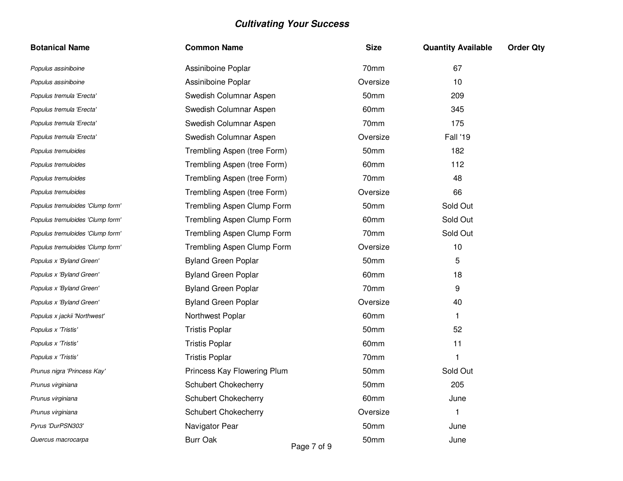| <b>Botanical Name</b>            | <b>Common Name</b>             | <b>Size</b> | <b>Quantity Available</b> | <b>Order Qty</b> |
|----------------------------------|--------------------------------|-------------|---------------------------|------------------|
| Populus assiniboine              | Assiniboine Poplar             | 70mm        | 67                        |                  |
| Populus assiniboine              | Assiniboine Poplar             | Oversize    | 10                        |                  |
| Populus tremula 'Erecta'         | Swedish Columnar Aspen         | 50mm        | 209                       |                  |
| Populus tremula 'Erecta'         | Swedish Columnar Aspen         | 60mm        | 345                       |                  |
| Populus tremula 'Erecta'         | Swedish Columnar Aspen         | 70mm        | 175                       |                  |
| Populus tremula 'Erecta'         | Swedish Columnar Aspen         | Oversize    | Fall '19                  |                  |
| Populus tremuloides              | Trembling Aspen (tree Form)    | 50mm        | 182                       |                  |
| Populus tremuloides              | Trembling Aspen (tree Form)    | 60mm        | 112                       |                  |
| Populus tremuloides              | Trembling Aspen (tree Form)    | 70mm        | 48                        |                  |
| Populus tremuloides              | Trembling Aspen (tree Form)    | Oversize    | 66                        |                  |
| Populus tremuloides 'Clump form' | Trembling Aspen Clump Form     | 50mm        | Sold Out                  |                  |
| Populus tremuloides 'Clump form' | Trembling Aspen Clump Form     | 60mm        | Sold Out                  |                  |
| Populus tremuloides 'Clump form' | Trembling Aspen Clump Form     | 70mm        | Sold Out                  |                  |
| Populus tremuloides 'Clump form' | Trembling Aspen Clump Form     | Oversize    | 10                        |                  |
| Populus x 'Byland Green'         | <b>Byland Green Poplar</b>     | 50mm        | 5                         |                  |
| Populus x 'Byland Green'         | <b>Byland Green Poplar</b>     | 60mm        | 18                        |                  |
| Populus x 'Byland Green'         | <b>Byland Green Poplar</b>     | 70mm        | 9                         |                  |
| Populus x 'Byland Green'         | <b>Byland Green Poplar</b>     | Oversize    | 40                        |                  |
| Populus x jackii 'Northwest'     | Northwest Poplar               | 60mm        | 1                         |                  |
| Populus x 'Tristis'              | <b>Tristis Poplar</b>          | 50mm        | 52                        |                  |
| Populus x 'Tristis'              | <b>Tristis Poplar</b>          | 60mm        | 11                        |                  |
| Populus x 'Tristis'              | <b>Tristis Poplar</b>          | 70mm        | $\mathbf{1}$              |                  |
| Prunus nigra 'Princess Kay'      | Princess Kay Flowering Plum    | 50mm        | Sold Out                  |                  |
| Prunus virginiana                | <b>Schubert Chokecherry</b>    | 50mm        | 205                       |                  |
| Prunus virginiana                | <b>Schubert Chokecherry</b>    | 60mm        | June                      |                  |
| Prunus virginiana                | Schubert Chokecherry           | Oversize    | 1                         |                  |
| Pyrus 'DurPSN303'                | Navigator Pear                 | 50mm        | June                      |                  |
| Quercus macrocarpa               | <b>Burr Oak</b><br>Page 7 of 9 | 50mm        | June                      |                  |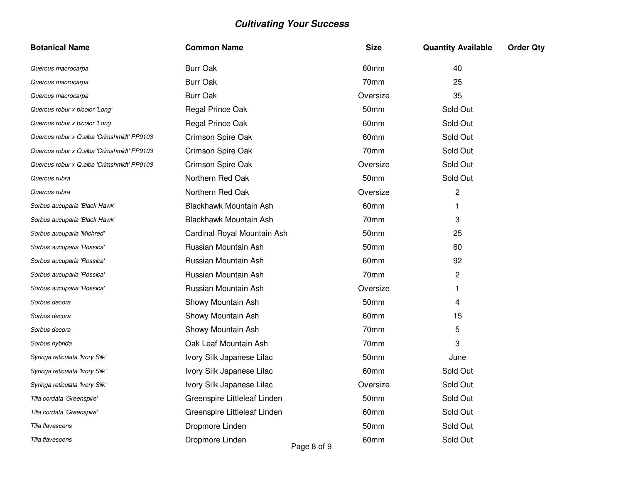| <b>Botanical Name</b>                      | <b>Common Name</b>             | <b>Size</b> | <b>Quantity Available</b> | <b>Order Qty</b> |
|--------------------------------------------|--------------------------------|-------------|---------------------------|------------------|
| Quercus macrocarpa                         | <b>Burr Oak</b>                | 60mm        | 40                        |                  |
| Quercus macrocarpa                         | <b>Burr Oak</b>                | 70mm        | 25                        |                  |
| Quercus macrocarpa                         | <b>Burr Oak</b>                | Oversize    | 35                        |                  |
| Quercus robur x bicolor 'Long'             | Regal Prince Oak               | 50mm        | Sold Out                  |                  |
| Quercus robur x bicolor 'Long'             | Regal Prince Oak               | 60mm        | Sold Out                  |                  |
| Quercus robur x Q.alba 'Crimshmidt' PP9103 | Crimson Spire Oak              | 60mm        | Sold Out                  |                  |
| Quercus robur x Q.alba 'Crimshmidt' PP9103 | Crimson Spire Oak              | 70mm        | Sold Out                  |                  |
| Quercus robur x Q.alba 'Crimshmidt' PP9103 | Crimson Spire Oak              | Oversize    | Sold Out                  |                  |
| Quercus rubra                              | Northern Red Oak               | 50mm        | Sold Out                  |                  |
| Quercus rubra                              | Northern Red Oak               | Oversize    | $\overline{c}$            |                  |
| Sorbus aucuparia 'Black Hawk'              | Blackhawk Mountain Ash         | 60mm        | 1                         |                  |
| Sorbus aucuparia 'Black Hawk'              | Blackhawk Mountain Ash         | 70mm        | 3                         |                  |
| Sorbus aucuparia 'Michred'                 | Cardinal Royal Mountain Ash    | 50mm        | 25                        |                  |
| Sorbus aucuparia 'Rossica'                 | Russian Mountain Ash           | 50mm        | 60                        |                  |
| Sorbus aucuparia 'Rossica'                 | Russian Mountain Ash           | 60mm        | 92                        |                  |
| Sorbus aucuparia 'Rossica'                 | Russian Mountain Ash           | 70mm        | $\overline{c}$            |                  |
| Sorbus aucuparia 'Rossica'                 | Russian Mountain Ash           | Oversize    | 1                         |                  |
| Sorbus decora                              | Showy Mountain Ash             | 50mm        | 4                         |                  |
| Sorbus decora                              | Showy Mountain Ash             | 60mm        | 15                        |                  |
| Sorbus decora                              | Showy Mountain Ash             | 70mm        | 5                         |                  |
| Sorbus hybrida                             | Oak Leaf Mountain Ash          | 70mm        | 3                         |                  |
| Syringa reticulata 'Ivory Silk'            | Ivory Silk Japanese Lilac      | 50mm        | June                      |                  |
| Syringa reticulata 'Ivory Silk'            | Ivory Silk Japanese Lilac      | 60mm        | Sold Out                  |                  |
| Syringa reticulata 'Ivory Silk'            | Ivory Silk Japanese Lilac      | Oversize    | Sold Out                  |                  |
| Tilia cordata 'Greenspire'                 | Greenspire Littleleaf Linden   | 50mm        | Sold Out                  |                  |
| Tilia cordata 'Greenspire'                 | Greenspire Littleleaf Linden   | 60mm        | Sold Out                  |                  |
| Tilia flavescens                           | Dropmore Linden                | 50mm        | Sold Out                  |                  |
| Tilia flavescens                           | Dropmore Linden<br>Page 8 of 9 | 60mm        | Sold Out                  |                  |